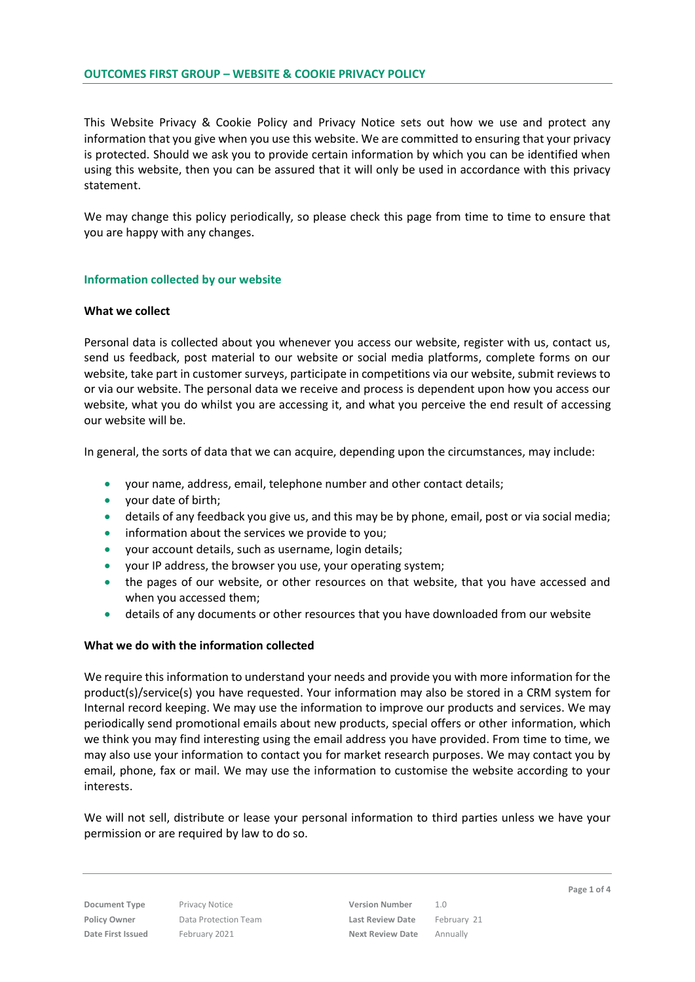This Website Privacy & Cookie Policy and Privacy Notice sets out how we use and protect any information that you give when you use this website. We are committed to ensuring that your privacy is protected. Should we ask you to provide certain information by which you can be identified when using this website, then you can be assured that it will only be used in accordance with this privacy statement.

We may change this policy periodically, so please check this page from time to time to ensure that you are happy with any changes.

# **Information collected by our website**

### **What we collect**

Personal data is collected about you whenever you access our website, register with us, contact us, send us feedback, post material to our website or social media platforms, complete forms on our website, take part in customer surveys, participate in competitions via our website, submit reviews to or via our website. The personal data we receive and process is dependent upon how you access our website, what you do whilst you are accessing it, and what you perceive the end result of accessing our website will be.

In general, the sorts of data that we can acquire, depending upon the circumstances, may include:

- your name, address, email, telephone number and other contact details;
- your date of birth;
- details of any feedback you give us, and this may be by phone, email, post or via social media;
- **•** information about the services we provide to you;
- your account details, such as username, login details;
- your IP address, the browser you use, your operating system;
- the pages of our website, or other resources on that website, that you have accessed and when you accessed them;
- details of any documents or other resources that you have downloaded from our website

### **What we do with the information collected**

We require this information to understand your needs and provide you with more information for the product(s)/service(s) you have requested. Your information may also be stored in a CRM system for Internal record keeping. We may use the information to improve our products and services. We may periodically send promotional emails about new products, special offers or other information, which we think you may find interesting using the email address you have provided. From time to time, we may also use your information to contact you for market research purposes. We may contact you by email, phone, fax or mail. We may use the information to customise the website according to your interests.

We will not sell, distribute or lease your personal information to third parties unless we have your permission or are required by law to do so.

**Document Type** Privacy Notice **Version Number** 1.0 **Policy Owner** Data Protection Team **Last Review Date** February 21 **Date First Issued** February 2021 **Next Review Date** Annually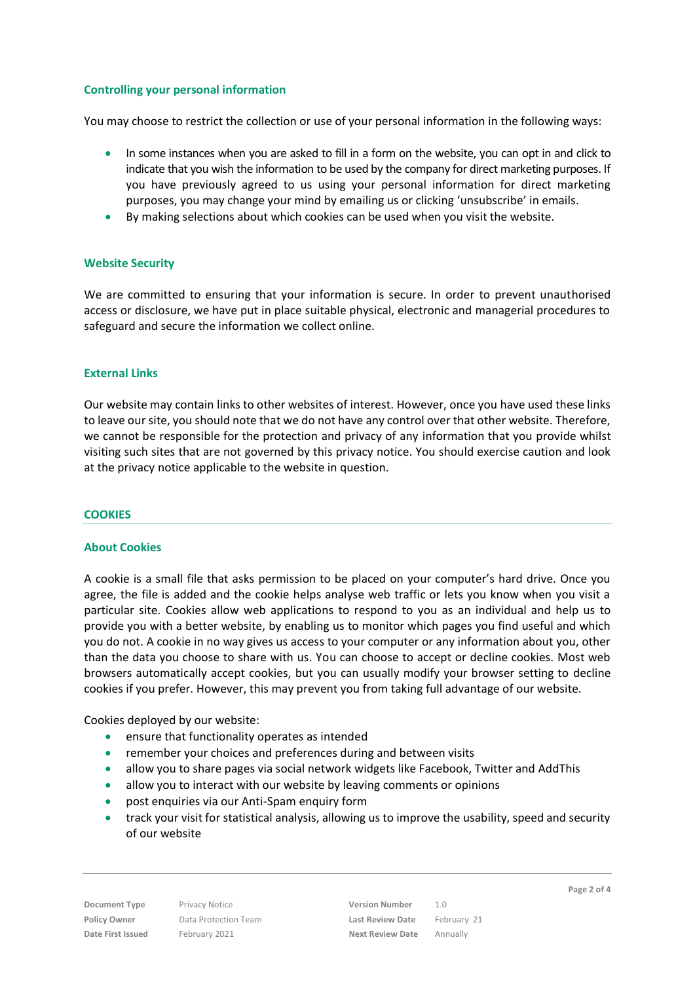# **Controlling your personal information**

You may choose to restrict the collection or use of your personal information in the following ways:

- In some instances when you are asked to fill in a form on the website, you can opt in and click to indicate that you wish the information to be used by the company for direct marketing purposes. If you have previously agreed to us using your personal information for direct marketing purposes, you may change your mind by emailing us or clicking 'unsubscribe' in emails.
- By making selections about which cookies can be used when you visit the website.

# **Website Security**

We are committed to ensuring that your information is secure. In order to prevent unauthorised access or disclosure, we have put in place suitable physical, electronic and managerial procedures to safeguard and secure the information we collect online.

# **External Links**

Our website may contain links to other websites of interest. However, once you have used these links to leave our site, you should note that we do not have any control over that other website. Therefore, we cannot be responsible for the protection and privacy of any information that you provide whilst visiting such sites that are not governed by this privacy notice. You should exercise caution and look at the privacy notice applicable to the website in question.

# **COOKIES**

# **About Cookies**

A cookie is a small file that asks permission to be placed on your computer's hard drive. Once you agree, the file is added and the cookie helps analyse web traffic or lets you know when you visit a particular site. Cookies allow web applications to respond to you as an individual and help us to provide you with a better website, by enabling us to monitor which pages you find useful and which you do not. A cookie in no way gives us access to your computer or any information about you, other than the data you choose to share with us. You can choose to accept or decline cookies. Most web browsers automatically accept cookies, but you can usually modify your browser setting to decline cookies if you prefer. However, this may prevent you from taking full advantage of our website.

Cookies deployed by our website:

- ensure that functionality operates as intended
- remember your choices and preferences during and between visits
- allow you to share pages via social network widgets like Facebook, Twitter and AddThis
- allow you to interact with our website by leaving comments or opinions
- post enquiries via our Anti-Spam enquiry form
- track your visit for statistical analysis, allowing us to improve the usability, speed and security of our website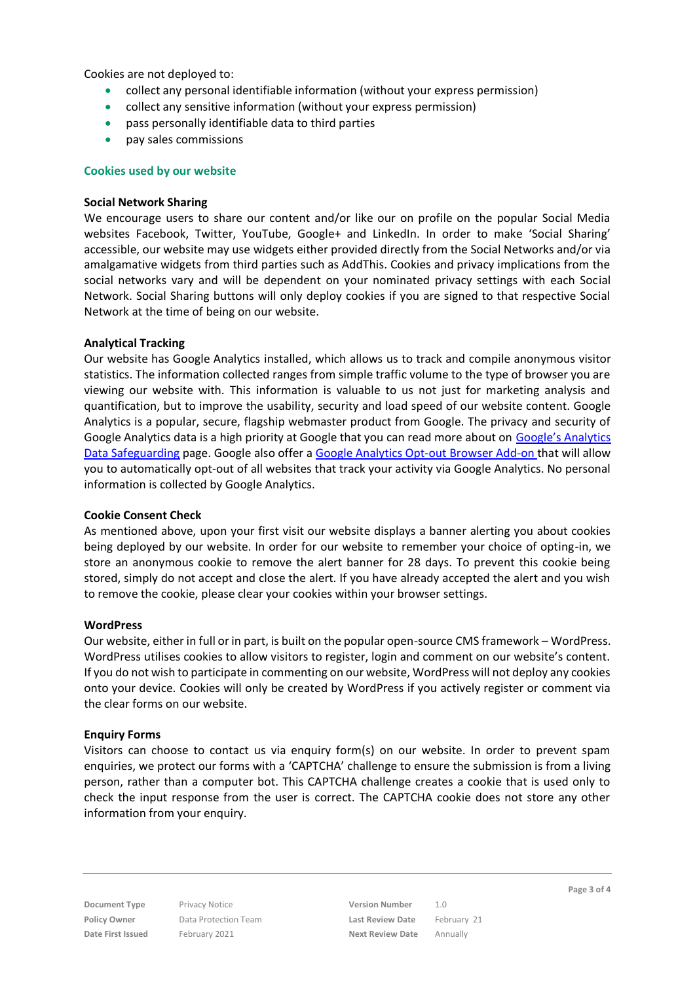Cookies are not deployed to:

- collect any personal identifiable information (without your express permission)
- collect any sensitive information (without your express permission)
- pass personally identifiable data to third parties
- pay sales commissions

### **Cookies used by our website**

### **Social Network Sharing**

We encourage users to share our content and/or like our on profile on the popular Social Media websites Facebook, Twitter, YouTube, Google+ and LinkedIn. In order to make 'Social Sharing' accessible, our website may use widgets either provided directly from the Social Networks and/or via amalgamative widgets from third parties such as AddThis. Cookies and privacy implications from the social networks vary and will be dependent on your nominated privacy settings with each Social Network. Social Sharing buttons will only deploy cookies if you are signed to that respective Social Network at the time of being on our website.

### **Analytical Tracking**

Our website has Google Analytics installed, which allows us to track and compile anonymous visitor statistics. The information collected ranges from simple traffic volume to the type of browser you are viewing our website with. This information is valuable to us not just for marketing analysis and quantification, but to improve the usability, security and load speed of our website content. Google Analytics is a popular, secure, flagship webmaster product from Google. The privacy and security of Google Analytics data is a high priority at Google that you can read more about on Google's Analytics [Data Safeguarding](https://support.google.com/analytics/answer/6004245?hl=en&ref_topic=2919631) page. Google also offer a [Google Analytics Opt-out](https://support.google.com/analytics/answer/181881?hl=en&ref_topic=2919631) Browser Add-on that will allow you to automatically opt-out of all websites that track your activity via Google Analytics. No personal information is collected by Google Analytics.

### **Cookie Consent Check**

As mentioned above, upon your first visit our website displays a banner alerting you about cookies being deployed by our website. In order for our website to remember your choice of opting-in, we store an anonymous cookie to remove the alert banner for 28 days. To prevent this cookie being stored, simply do not accept and close the alert. If you have already accepted the alert and you wish to remove the cookie, please clear your cookies within your browser settings.

### **WordPress**

Our website, either in full or in part, is built on the popular open-source CMS framework – WordPress. WordPress utilises cookies to allow visitors to register, login and comment on our website's content. If you do not wish to participate in commenting on our website, WordPress will not deploy any cookies onto your device. Cookies will only be created by WordPress if you actively register or comment via the clear forms on our website.

# **Enquiry Forms**

Visitors can choose to contact us via enquiry form(s) on our website. In order to prevent spam enquiries, we protect our forms with a 'CAPTCHA' challenge to ensure the submission is from a living person, rather than a computer bot. This CAPTCHA challenge creates a cookie that is used only to check the input response from the user is correct. The CAPTCHA cookie does not store any other information from your enquiry.

**Document Type** Privacy Notice **Version Number** 1.0 **Policy Owner** Data Protection Team **Last Review Date** February 21 **Date First Issued** February 2021 **Next Review Date** Annually